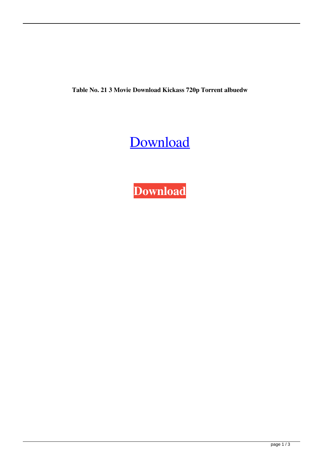**Table No. 21 3 Movie Download Kickass 720p Torrent albuedw**

## [Download](http://evacdir.com/ZG93bmxvYWR8OVZsTVhJMWQzeDhNVFkxTWpRMk16QTFNSHg4TWpVM05IeDhLRTBwSUhKbFlXUXRZbXh2WnlCYlJtRnpkQ0JIUlU1ZA.larson.barre/VGFibGUgTm8uIDIxIDMgTW92aWUgRG93bmxvYWQgS2lja2FzcyA3MjBwIFRvcnJlbnQVGF/ezinearticles/perjorative/yuniesky/reviewed/)

**[Download](http://evacdir.com/ZG93bmxvYWR8OVZsTVhJMWQzeDhNVFkxTWpRMk16QTFNSHg4TWpVM05IeDhLRTBwSUhKbFlXUXRZbXh2WnlCYlJtRnpkQ0JIUlU1ZA.larson.barre/VGFibGUgTm8uIDIxIDMgTW92aWUgRG93bmxvYWQgS2lja2FzcyA3MjBwIFRvcnJlbnQVGF/ezinearticles/perjorative/yuniesky/reviewed/)**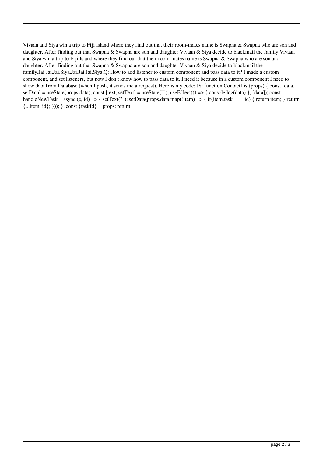Vivaan and Siya win a trip to Fiji Island where they find out that their room-mates name is Swapna & Swapna who are son and daughter. After finding out that Swapna & Swapna are son and daughter Vivaan & Siya decide to blackmail the family. Vivaan and Siya win a trip to Fiji Island where they find out that their room-mates name is Swapna & Swapna who are son and daughter. After finding out that Swapna & Swapna are son and daughter Vivaan & Siya decide to blackmail the family.Jai.Jai.Jai.Siya.Jai.Jai.Jai.Siya.Q: How to add listener to custom component and pass data to it? I made a custom component, and set listeners, but now I don't know how to pass data to it. I need it because in a custom component I need to show data from Database (when I push, it sends me a request). Here is my code: JS: function ContactList(props) { const [data, setData] = useState(props.data); const [text, setText] = useState(""); useEffect(() => { console.log(data) }, [data]); const handleNewTask = async (e, id) => { setText(""); setData(props.data.map((item) => { if(item.task === id) { return item; } return  ${...}$ item, id $};$  }));  $;$  const  ${\text{taskId}} = \text{props}$ ; return (